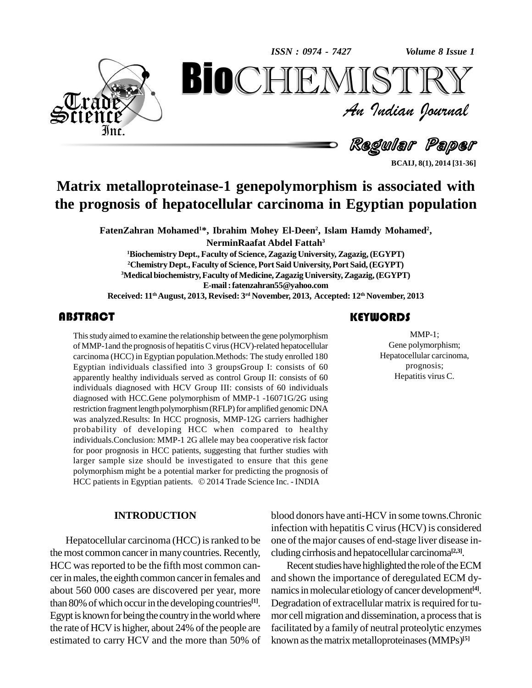*Volume 8 Issue 1*



An Indian Journal<br>Regular Paper *Volume 8 Issue 1*<br> $\begin{array}{c} \bigcirc \mathbb{T} \mathbb{R} \mathbb{Y} \ \mathcal{I} \end{array}$ **BioCHEMISTRY**<br>Au Indian Journal<br>Regular Paper<br>einase-1 genepolymorphism is associated with<br>patocellular carcinoma in Egyptian population

**BCAIJ, 8(1), 2014 [31-36]**

# **Matrix metalloproteinase-1 genepolymorphism is associated with the prognosis of hepatocellular carcinoma in Egyptian population**

**FatenZahran Mohamed <sup>1</sup>\*, Ibrahim Mohey El-Deen 2 , Islam Hamdy Mohamed 2 ,**

**NerminRaafat Abdel Fattah 3**

**<sup>1</sup>Biochemistry Dept., Faculty of Science,Zagazig University, Zagazig,(EGYPT) <sup>2</sup>Chemistry Dept., Faculty of Science, Port Said University,Port Said,(EGYPT)** <sup>3</sup>Medical biochemistry, Faculty of Medicine, Zagazig University, Zagazig, (EGYPT) **E-mail:[fatenzahran55@yahoo.com](mailto:fatenzahran55@yahoo.com) Received: 11 thAugust, 2013, Revised: 3 rd November, 2013, Accepted: 12 th November, 2013**

## **ABSTRACT**

This study aimed to examin<br>of MMP-1 and the prognos<br>carcinoma (HCC) in Egyp Thisstudy aimed to examine the relationship between the gene polymorphism of MMP-1and the prognosis of hepatitisCvirus(HCV)-related hepatocellular carcinoma (HCC) in Egyptian population.Methods: The study enrolled 180 Egyptian individuals classified into 3 groupsGroup I: consists of 60 apparently healthy individuals served as control Group II: consists of 60 individuals diagnosed with HCV Group III: consists of 60 individuals diagnosed with HCC.Gene polymorphism of MMP-1 -16071G/2G using restriction fragment length polymorphism (RFLP) for amplified genomic DNA was analyzed.Results: In HCC prognosis, MMP-12G carriers hadhigher probability of developing HCC when compared to healthy individuals.Conclusion: MMP-1 2G allele may bea cooperative risk factor for poor prognosis in HCC patients, suggesting that further studies with larger sample size should be investigated to ensure that this gene polymorphism might be a potential marker for predicting the prognosis of HCC patients in Egyptian patients. © 2014 Trade Science Inc. - INDIA

#### **INTRODUCTION**

Hepatocellular carcinoma (HCC) is ranked to be the most common cancer in many countries. Recently, HCC was reported to be the fifth most common cancer in males, the eighth common cancer in females and about 560 000 cases are discovered per year, more than 80% of which occur in the developing countries<sup>[1]</sup>. De Egypt is known for being the country in the world where the rate of HCV is higher, about 24% of the people are estimated to carry HCV and the more than 50% of

## **KEYWORDS**

MMP-1;<br>Gene polymorphism;<br>Hepatocellular carcinoma, MMP-1; Gene polymorphism; prognosis; Hepatitis virus C.

blood donors have anti-HCV in some towns.Chronic infection with hepatitis C virus(HCV) is considered one of the major causes of end-stage liver disease in cluding cirrhosis and hepatocellular carcinoma **[2,3]**.

Recent studies have highlighted the role of the ECM and shown the importance of deregulated ECM dy namics in molecular etiology of cancer development<sup>[4]</sup>. Degradation of extracellular matrix is required for tumor cell migration and dissemination, a process that is facilitated by a family of neutral proteolytic enzymes known as the matrix metalloproteinases (MMPs)<sup>[5]</sup>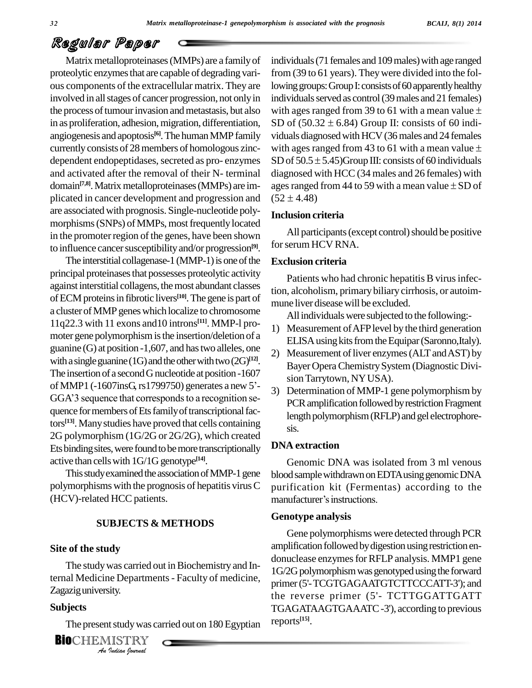Matrix metalloproteinases (MMPs) are a family of proteolytic enzymes that are capable of degrading various components of the extracellular matrix. They are involved in all stages of cancer progression, not only in the process of tumour invasion and metastasis, but also in as proliferation, adhesion, migration, differentiation, SD of  $(50.32 \pm 6.84)$  Group II: consists of 60 indiangiogenesis and apoptosis<sup>[6]</sup>. The human MMP family viduals currently consists of 28 members of homologous zinc-<br>with ages ranged from 43 to 61 with a mean value  $\pm$ dependent endopeptidases, secreted as pro- enzymes SD of  $50.5 \pm 5.45$ )Group III: consists of 60 individuals and activated after the removal of their N- terminal domain<sup>[7,8]</sup>. Matrix metalloproteinases (MMPs) are im-<br>age plicated in cancer development and progression and  $(52 \pm 4.48)$ are associated with prognosis. Single-nucleotide poly morphisms (SNPs) of MMPs, most frequently located in the promoter region of the genes, have been shown to influence cancer susceptibility and/or progression<sup>[9]</sup>. I<sup>OT St</sup>

The interstitial collagenase-1 (MMP-1) is one of the principal proteinases that possesses proteolytic activity against interstitial collagens, the most abundant classes of ECM proteins in fibrotic livers<sup>[10]</sup>. The gene is part of multi a cluster of MMP genes which localize to chromosome 11q22.3 with 11 exons and 10 introns<sup>[11]</sup>. MMP-l promoter gene polymorphism is the insertion/deletion of a guanine (G) at position -1,607, and hastwo alleles, one with a single guanine (1G) and the other with two  $(2G)^{1/2}$ .<br>
The insertion of a second G nucleotide at position -1607<br>
of MMP1 (-1607insG, rs1799750) generates a new 5<sup>2</sup>-<br>
Deta The insertion of a second G nucleotide at position -1607<br>of MMP1 (-1607insG, rs1799750) generates a new 5<sup>2</sup>-<br>GGA'3 sequence that corresponds to a recognition sequence for members of Ets family of transcriptional fac- $\frac{13}{13}$ . Many studies have proved that cells containing  $\frac{13}{18}$ 2G polymorphism (1G/2G or 2G/2G), which created Ets binding sites, were found to be more transcriptionally active than cells with 1G/1G genotype<sup>[14]</sup>.

This study examined the association of MMP-1 gene polymorphisms with the prognosis of hepatitis virusC (HCV)-related HCC patients.

#### **SUBJECTS & METHODS**

#### **Site of the study**

ternal Medicine Departments - Faculty of medicine, *I*<br>*I*<br>*I*<br>*IISTRY<br><i>Indian Iournal* The study was carried out in Biochemistry and In-Zagazig university.

## **Subjects**

The present study was carried out on 180 Egyptian reports

**BIO**CHEMISTRY

individuals (71 females and 109 males) with age ranged from (39 to 61 years). Theywere divided into the following groups: Group I: consists of 60 apparently healthy<br>individuals served as control (39 males and 21 females)<br>with ages ranged from 39 to 61 with a mean value  $\pm$ individuals served as control (39 males and 21 females) with ages ranged from 39 to 61 with a mean value  $\pm$ viduals diagnosed with HCV (36 males and 24 females SD of  $(50.32 \pm 6.84)$  Group II: consists of 60 individuals diagnosed with HCV (36 males and 24 females with ages ranged from 43 to 61 with a mean value  $\pm$ viduals diagnosed with HCV (36 males and 24 females<br>with ages ranged from 43 to 61 with a mean value  $\pm$ <br>SD of 50.5  $\pm$  5.45)Group III: consists of 60 individuals diagnosed with HCC (34 males and 26 females) with SD of 50.5  $\pm$  5.45)Group III: consists of 60 individuals<br>diagnosed with HCC (34 males and 26 females) with<br>ages ranged from 44 to 59 with a mean value  $\pm$  SD of diagnosed with H $\alpha$ <br>ages ranged from<br>(52  $\pm$  4.48)

#### **Inclusion criteria**

All participants (except control) should be positive for serum HCV RNA.

#### **Exclusion criteria**

Patients who had chronic hepatitis B virus infection, alcoholism, primarybiliary cirrhosis, or autoim mune liver diseasewill be excluded.

All individuals were subjected to the following:-

- 1) Measurement ofAFPlevel by the third generation ELISA using kits from the Equipar (Saronno, Italy).
- 2) Measurement of liver enzymes (ALT and AST) by Bayer OperaChemistrySystem(Diagnostic Divi sion Tarrytown, NY USA).
- 3) Determination of MMP-1 gene polymorphism by PCR amplification followed by restriction Fragment length polymorphism (RFLP) and gel electrophoresis.

#### **DNA extraction**

Genomic DNA was isolated from 3 ml venous blood sample withdrawn on EDTA using genomic DNA<br>purification kit (Fermentas) according to the<br>manufacturer's instructions. purification kit (Fermentas) according to the

#### **Genotype analysis**

Gene polymorphisms were detected through PCR amplification followed by digestion using restriction endonuclease enzymes for RFLP analysis. MMP1 gene 1G/2G polymorphism was genotyped using the forward primer(5'-TCGTGAGAATGTCTTCCCATT-3'); and the reverse primer (5'- TCTTGGATTGATT TGAGATAAGTGAAATC-3'), according to previous reports **[15]**.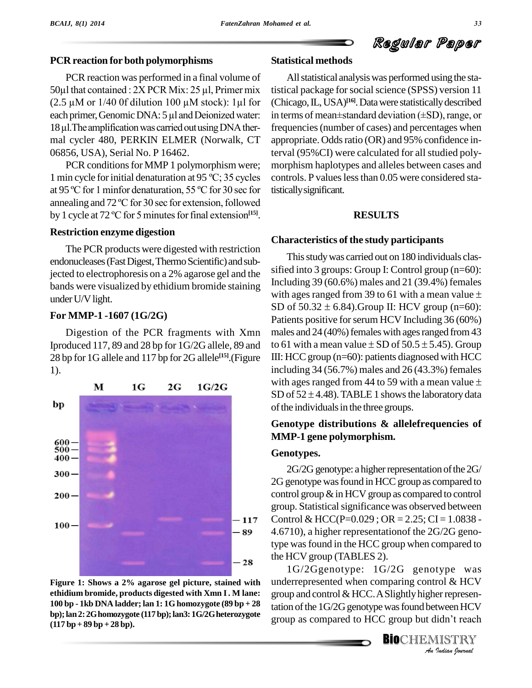#### **PCR reaction for both polymorphisms**

PCR reaction was performed in a final volume of PCR reaction for both polymorphisms Statist<br>  $PCR$  reaction was performed in a final volume of All<br>  $50\mu$ l that contained :  $2X$  PCR Mix:  $25 \mu$ l, Primer mix tistical PCR reaction was performed in a final volume of<br>50 $\mu$ l that contained : 2X PCR Mix: 25  $\mu$ l, Primer mix tisti<br>(2.5  $\mu$ M or 1/40 0f dilution 100  $\mu$ M stock): 1 $\mu$ l for (Ch 50µl that contained :  $2X$  PCR Mix:  $25 \mu$ , Primer mix tis (2.5  $\mu$ M or 1/40 0f dilution 100  $\mu$ M stock): 1 $\mu$ l for (C each primer, Genomic DNA: 5  $\mu$ l and Deionized water: in mal cycler 480, PERKIN ELMER (Norwalk, CT 06856, USA), Serial No. P 16462.

PCR conditions for MMP 1 polymorphism were; <sup>1</sup> min cycle forinitial denaturation at <sup>95</sup> ºC; <sup>35</sup> cycles PCR conditions for MMP 1 polymorphism were; more 1 min cycle for initial denaturation at 95 °C; 35 cycles con at 95 °C for 1 minfor denaturation, 55 °C for 30 sec for tistic 1 min cycle for initial denaturation at 95 °C; 35 cycles control<br>at 95 °C for 1 minfor denaturation, 55 °C for 30 sec for tistically<br>annealing and 72 °C for 30 sec for extension, followed at 95 °C for 1 minfor denaturation, 55 °C for 30 sec for tistic<br>annealing and 72 °C for 30 sec for extension, followed<br>by 1 cycle at 72 °C for 5 minutes for final extension<sup>[15]</sup>. by 1 cycle at 72 °C for 5 minutes for final extension<sup>[15]</sup>.

#### **Restriction enzyme digestion**

The PCR products were digested with restriction endonucleases (Fast Digest, Thermo Scientific) and subjected to electrophoresis on a 2% agarose gel and the bands were visualized by ethidium bromide staining<br>with ages ranged from 39 to 61 with a mean value  $\pm$ under U/V light.

## **For MMP-1 -1607 (1G/2G)**

Digestion of the PCR fragments with Xmn Iproduced 117, 89 and 28 bp for 1G/2G allele, 89 and to 61 with a mean value  $\pm$  SD of 50.5  $\pm$  5.45). Group 28 bp for 1G allele and 117 bp for2G allele **[15]**.(Figure 1).



**Figure 1: Shows a 2% agarose gelpicture, stained with ethidium bromide, products digested with Xmn I. M lane: 100 bp - 1kb DNA ladder; lan 1: 1G homozygote (89 bp + 28 (117 bp + 89 bp +28 bp).**

## **Statistical methods**

(2.5  $\mu$ M or 1/40 Of dilution 100  $\mu$ M stock): 1 $\mu$ l for (Chicago, IL, USA)<sup>[16]</sup>. Data were statistically described each primer, Genomic DNA: 5  $\mu$ l and Deionized water: in terms of mean±standard deviation (±SD), ran All statistical analysis was performed using the statistical package for social science (SPSS) version 11 (Chicago, IL, USA)<sup>[16]</sup>. Data were statistically described tistical package for social science (SPSS) version 11<br>(Chicago, IL, USA)<sup>[16]</sup>. Data were statistically described<br>in terms of mean±standard deviation (±SD), range, or frequencies(number of cases) and percentages when appropriate. Oddsratio (OR) and 95% confidence interval (95%CI) were calculated for all studied poly morphism haplotypes and alleles between cases and controls. P values less than 0.05 were considered statisticallysignificant.

## **RESULTS**

## **Characteristics of the study participants**

This study was carried out on 180 individuals classified into 3 groups: Group I: Control group (n=60):<br>Including 39 (60.6%) males and 21 (39.4%) females<br>with ages ranged from 39 to 61 with a mean value ± Including 39 (60.6%) males and 21 (39.4%) females<br>with ages ranged from 39 to 61 with a mean value  $\pm$ <br>SD of 50.32  $\pm$  6.84).Group II: HCV group (n=60): Patients positive for serum HCV Including 36 (60%)<br>males and 24 (40%) females with ages ranged from 43<br>to 61 with a mean value  $\pm$  SD of 50.5  $\pm$  5.45). Group males and  $24 (40%)$  females with ages ranged from  $43$ III: HCC group  $(n=60)$ : patients diagnosed with HCC including 34 (56.7%) males and 26 (43.3%) females with ages ranged from 44 to 59 with a mean value  $\pm$ SD of  $52 \pm 4.48$ ). TABLE 1 shows the laboratory data of the individuals in the three groups.

## **Genotype distributions & allelefrequencies of MMP-1 gene polymorphism.**

## **Genotypes.**

 $2G/2G$  genotype: a higher representation of the  $2G/$ 2G genotype was found in HCC group as compared to control group  $\&$  in HCV group as compared to control group. Statistical significance was observed between Control & HCC(P=0.029; OR = 2.25; CI = 1.0838 -4.6710), a higher representationof the 2G/2G genotype was found in the HCC group when compared to the HCV group (TABLES 2).

**Analytical School and Control & HCV**<br>
group and control & HCC. A Slightly higher representation of the 1G/2G genotype was found between HCV<br>
group as compared to HCC group but didn't reach<br> **BIO**CHEMISTRY 1G/2Ggenotype: 1G/2G genotype was group and control & HCC. A Slightly higher representation of the 1G/2G genotype was found between HCV<br>group as compared to HCC group but didn't reach tation of the 1G/2G genotype was found between HCV **bp);lan2:2Ghomozygote (117bp);lan3: 1G/2Gheterozygote**

**BIO**CHEMISTRY<br>An Indian Iournal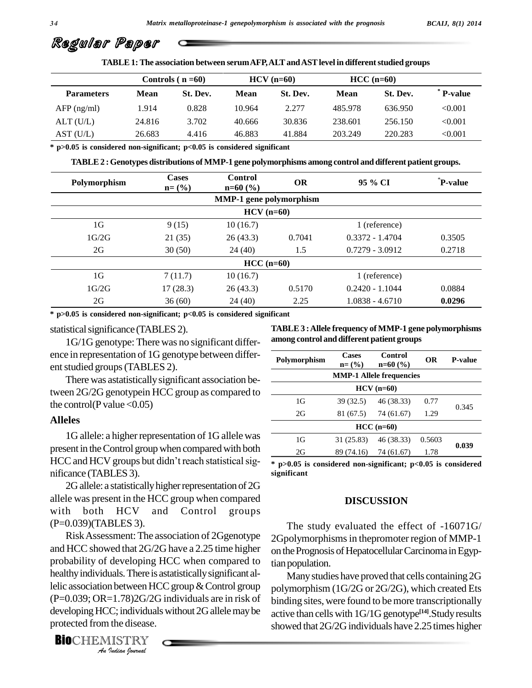|                   |        | Controls $(n=60)$ |        | $HCV$ (n=60) |         | $HCC$ (n=60) |                |
|-------------------|--------|-------------------|--------|--------------|---------|--------------|----------------|
| <b>Parameters</b> | Mean   | St. Dev.          | Mean   | St. Dev.     | Mean    | St. Dev.     | <b>P-value</b> |
| $AFP$ (ng/ml)     | 1.914  | 0.828             | 10.964 | 2.277        | 485.978 | 636.950      | < 0.001        |
| ALT(U/L)          | 24.816 | 3.702             | 40.666 | 30.836       | 238.601 | 256.150      | < 0.001        |
| AST(U/L)          | 26.683 | 4.416             | 46.883 | 41.884       | 203.249 | 220.283      | < 0.001        |

**TABLE1:The association between serumAFP,ALTandASTlevel in differentstudied groups**

**\* p>0.05 is considered non-significant; p<0.05 is considered significant**

**TABLE2 :Genotypes distributions of MMP-1 gene polymorphisms among control and different patient groups.**

| Polymorphism   | <b>Cases</b><br>$n = (%)$ | Control<br>$n=60$ (%)          | <b>OR</b>     | 95 % CI           | <sup>*</sup> P-value |  |  |  |
|----------------|---------------------------|--------------------------------|---------------|-------------------|----------------------|--|--|--|
|                |                           | <b>MMP-1</b> gene polymorphism |               |                   |                      |  |  |  |
| $HCV$ (n=60)   |                           |                                |               |                   |                      |  |  |  |
| 1 <sub>G</sub> | 9(15)                     | 10(16.7)                       | 1 (reference) |                   |                      |  |  |  |
| 1G/2G          | 21(35)                    | 26(43.3)                       | 0.7041        | $0.3372 - 1.4704$ | 0.3505               |  |  |  |
| 2G             | 30(50)                    | 24(40)                         | 1.5           | $0.7279 - 3.0912$ | 0.2718               |  |  |  |
|                | $HCC$ (n=60)              |                                |               |                   |                      |  |  |  |
| 1 <sub>G</sub> | 7(11.7)                   | 10(16.7)                       | 1 (reference) |                   |                      |  |  |  |
| 1G/2G          | 17(28.3)                  | 26(43.3)                       | 0.5170        | $0.2420 - 1.1044$ | 0.0884               |  |  |  |
| 2G             | 36(60)                    | 24(40)                         | 2.25          | $1.0838 - 4.6710$ | 0.0296               |  |  |  |

**\* p>0.05 is considered non-significant; p<0.05 is considered significant**

#### statistical significance (TABLES 2).

1G/1G genotype: There was no significant differ ence in representation of 1G genotype between differ ent studied groups (TABLES 2).

There was astatisticallysignificant association between 2G/2G genotypein HCC group as compared to the control(P value  $< 0.05$ )

#### **Alleles**

1G allele: a higher representation of 1G allele was present in the Control group when compared with both  $\frac{1}{2}$ 1G allele: a higher representation of 1G allele was<br>present in the Control group when compared with both<br>HCC and HCV groups but didn't reach statistical sig- $\frac{}{^{*}}$ nificance (TABLES 3).

2G allele: a statistically higher representation of 2G allele was present in the HCC group when compared with both HCV and Control groups (P=0.039)(TABLES 3).

*An*healthyindividuals.There is astatisticallysignificant al-*Indian*<br>*Indian*<br>*II.78)2G/2C*<br>*I*. *Individual*<br>*IISTRY*<br>*Indian Iournal* RiskAssessment:The association of 2Ggenotype and HCC showed that 2G/2G have a 2.25 time higher probability of developing HCC when compared to lelic association between HCC group & Control group polyme (P=0.039; OR=1.78)2G/2G individuals are in risk of developing HCC; individuals without 2G allele may be protected from the disease.

**BIO**CHEMISTRY

**TABLE3 :Allele frequency ofMMP-1 gene polymorphisms among control and different patient groups**

| Polymorphism                    | <b>Cases</b><br>$n = (%)$ | <b>Control</b><br>$n=60$ (%) | <b>OR</b> | P-value |  |  |  |
|---------------------------------|---------------------------|------------------------------|-----------|---------|--|--|--|
| <b>MMP-1 Allele frequencies</b> |                           |                              |           |         |  |  |  |
| $HCV (n=60)$                    |                           |                              |           |         |  |  |  |
| 1G                              | 39 (32.5)                 | 46 (38.33)                   | 0.77      | 0.345   |  |  |  |
| 2G                              | 81 (67.5)                 | 74 (61.67)                   | 1.29      |         |  |  |  |
| $HCC$ (n=60)                    |                           |                              |           |         |  |  |  |
| 1G                              | 31 (25.83)                | 46 (38.33)                   | 0.5603    | 0.039   |  |  |  |
| 2G                              | 89 (74.16)                | 74 (61.67)                   | 1.78      |         |  |  |  |
|                                 |                           |                              |           |         |  |  |  |

**\* p>0.05 is considered non-significant; p<0.05 is considered significant**

#### **DISCUSSION**

The study evaluated the effect of -16071G/ 2Gpolymorphisms in thepromoter region of MMP-1 on the Prognosis of Hepatocellular Carcinoma in Egyptian population.

Many studies have proved that cells containing 2G polymorphism (1G/2G or 2G/2G), which created Ets binding sites, were found to bemore transcriptionally active than cells with 1G/1G genotype **[14]**.Studyresults showed that 2G/2G individuals have 2.25 times higher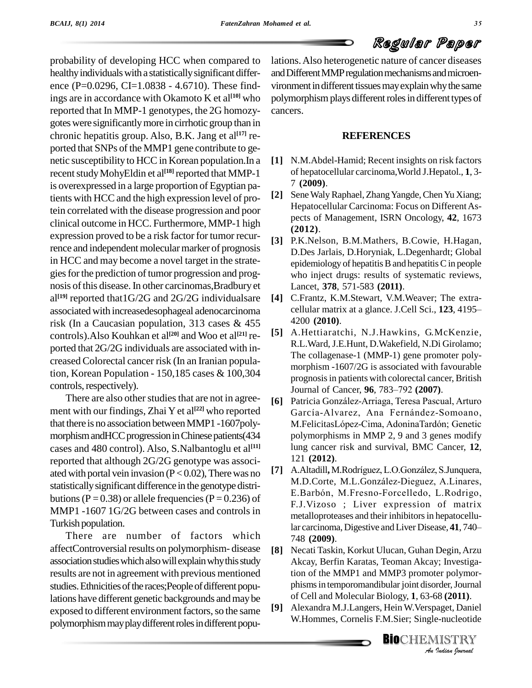probability of developing HCC when compared to healthy individuals with a statistically significant difference (P=0.0296, CI=1.0838 - 4.6710). These findings are in accordance with Okamoto K et al **[10]** who reported that In MMP-1 genotypes, the 2G homozy gotes were significantly more in cirrhotic group than in chronic hepatitis group. Also, B.K. Jang et al **[17]** re ported that SNPs of the MMP1 gene contribute to genetic susceptibility to HCCin Korean population.In a recent study MohyEldin et al<sup>[18]</sup> reported that MMP-1  $\qquad \qquad$  of is overexpressed in a large proportion of Egyptian pa-<br>tients with HCC and the high expression level of protients with HCC and the high expression level of protein correlated with the disease progression and poor clinical outcome in HCC. Furthermore, MMP-1 high expression proved to be a risk factor for tumor recurrence and independent molecular marker of prognosis in HCC and may become a novel target in the strate gies for the prediction of tumor progression and prognosis ofthis disease.In other carcinomas,Bradbury et al<sup>[19]</sup> reported that1G/2G and 2G/2G individualsare [4] G associated with increasedesophageal adenocarcinoma risk (In a Caucasian population, 313 cases & 455 controls).Also Kouhkan et al **[20]** and Woo et al **[21]** re ported that 2G/2G individuals are associated with in-<br>creased Colorectal cancer risk (In an Iranian population, Korean Population - 150,185 cases & 100,304 controls, respectively).

There are also other studies that are not in agree- $[6]$ ment with our findings, Zhai Y et al **[22]** who reported that there is no association betweenMMP1 -1607poly morphism and HCC progression in Chinese patients (434 cases and 480 control). Also, S.Nalbantoglu et al **[11]** reported that although 2G/2G genotype was associ-<br>ated with portal vein invasion  $(P > 0.02)$ . There was no [7] ated with portal vein invasion  $(P < 0.02)$ , There was no [7] A. Altadill, M. Rodríguez, L.O. González, S. Junquera, statisticallysignificant difference in the genotype distri butions (P = 0.38) or allele frequencies (P = 0.236) of MMP1 -1607 1G/2G between cases and controls in Turkish population.

affectControversial results on polymorphism-disease  $[8]$ association studies which also will explain why this study results are not in agreement with previous mentioned studies. Ethnicities of the races; People of different populations have different genetic backgrounds and may be<br>exposed to different environment fectors, so the same. [9] exposed to different environment factors, so the same polymorphism may play different roles in different popu-

lations.Also heterogenetic nature of cancer diseases and Different MMP regulation mechanisms and microenvironment in different tissues may explain why the same polymorphism plays different roles in different types of cancers.

## **REFERENCES**

- **[1]** N.M.Abdel-Hamid; Recent insights on risk factors of hepatocellular carcinoma,World J.Hepatol., **1**, 3- 7 **(2009)**.
- Sene Waly Raphael, Zhang Yangde, Chen Yu Xiang; Hepatocellular Carcinoma: Focus on Different Aspects of Management, ISRN Oncology, **42**, 1673 **(2012)**.
- **[3]** P.K.Nelson, B.M.Mathers, B.Cowie, H.Hagan, D.Des Jarlais, D.Horyniak, L.Degenhardt; Global epidemiology of hepatitis  $B$  and hepatitis  $C$  in people who inject drugs: results of systematic reviews, Lancet, **378**, 571-583 **(2011)**.
- **[4]** C.Frantz, K.M.Stewart, V.M.Weaver; The extra cellular matrix at a glance. J.Cell Sci., 123, 4195-4200 **(2010)**.
- **[5]** A.Hettiaratchi, N.J.Hawkins, G.McKenzie, R.L.Ward,J.E.Hunt, D.Wakefield, N.Di Girolamo; The collagenase-1 (MMP-1) gene promoter poly morphism -1607/2G is associated with favourable<br>prognosis in patients with colorectal cancer, British<br>Journal of Cancer, **96**, 783–792 **(2007)**. prognosisin patients with colorectal cancer, British prognosis in patients with colorectal cancer, British<br>Journal of Cancer, 96, 783–792 (2007).<br>[6] Patricia González-Arriaga, Teresa Pascual, Arturo
- Journal of Cancer, **96**, 783–792 (**2007**).<br>Patricia González-Arriaga, Teresa Pascual, Arturo<br>García-Alvarez, Ana Fernández-Somoano, Patricia González-Arriaga, Teresa Pascual, Arturo<br>García-Alvarez, Ana Fernández-Somoano,<br>M.FelicitasLópez-Cima, AdoninaTardón; Genetic polymorphisms in MMP 2, 9 and 3 genes modify lung cancer risk and survival, BMC Cancer, 12,<br>
121 (2012).<br>
[7] A.Altadill, M.Rodríguez, L.O.González, S.Junquera, 121 **(2012)**.
- $\frac{1}{2}$  are carcinoma, Digestive and Liver Disease, 41, 740–<br>There are number of factors which  $\frac{1}{2}$   $\frac{1}{2}$   $\frac{1}{2}$   $\frac{1}{2}$   $\frac{1}{2}$ 121 (**2012**).<br>A.Altadill, M.Rodríguez, L.O.González, S.Junquera,<br>M.D.Corte, M.L.González-Dieguez, A.Linares, A.Altadill, M.Rodríguez, L.O.González, S.Junquera,<br>M.D.Corte, M.L.González-Dieguez, A.Linares,<br>E.Barbón, M.Fresno-Forcelledo, L.Rodrigo, F.J. Vizoso ; Liver expression of matrix<br>metalloproteases and their inhibitors in hepatocellu-<br>lar carcinoma, Digestive and Liver Disease, **41**, 740– metalloproteases and their inhibitors in hepatocellu-748 **(2009)**.
	- *An*tion of the MMP1 and MMP3 promoter polymor- *Indian*<br>*IS* (2011).<br>*Indian Daniel*<br>IISTRY<br>*Indian hournal* **[8]** Necati Taskin, Korkut Ulucan, Guhan Degin,Arzu Akcay, Berfin Karatas, Teoman Akcay; Investigaphisms in temporomandibular joint disorder, Journal of Cell and Molecular Biology, **1**, 63-68 **(2011)**.
	- **[9]** Alexandra M.J.Langers, Hein W.Verspaget, Daniel W.Hommes, Cornelis F.M.Sier; Single-nucleotide